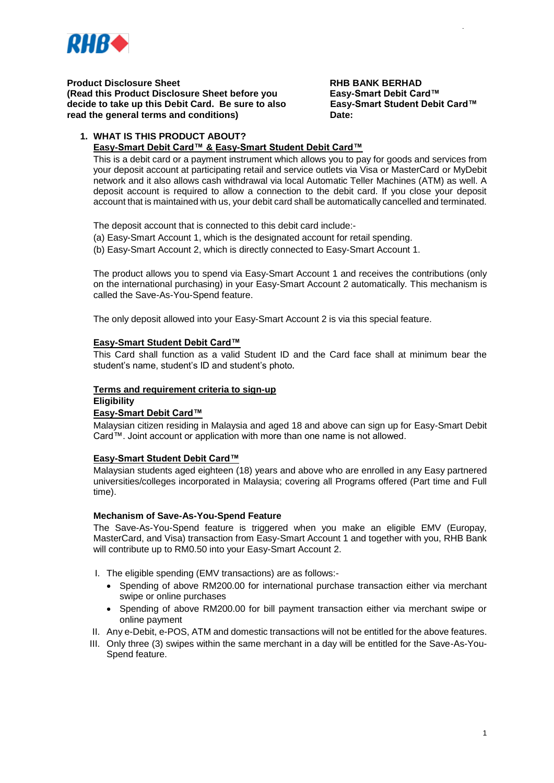

**Product Disclosure Sheet**<br> **RHB BANK BERHAD** (Read this Product Disclosure Sheet before you Easy-Smart Debit Card™ **(Read this Product Disclosure Sheet before you decide to take up this Debit Card. Be sure to also Easy-Smart Student Debit Card™ read the general terms and conditions) Date:**

DE /2018

# **1. WHAT IS THIS PRODUCT ABOUT?**

# **Easy-Smart Debit Card™ & Easy-Smart Student Debit Card™**

This is a debit card or a payment instrument which allows you to pay for goods and services from your deposit account at participating retail and service outlets via Visa or MasterCard or MyDebit network and it also allows cash withdrawal via local Automatic Teller Machines (ATM) as well. A deposit account is required to allow a connection to the debit card. If you close your deposit account that is maintained with us, your debit card shall be automatically cancelled and terminated.

The deposit account that is connected to this debit card include:-

- (a) Easy-Smart Account 1, which is the designated account for retail spending.
- (b) Easy-Smart Account 2, which is directly connected to Easy-Smart Account 1.

The product allows you to spend via Easy-Smart Account 1 and receives the contributions (only on the international purchasing) in your Easy-Smart Account 2 automatically. This mechanism is called the Save-As-You-Spend feature.

The only deposit allowed into your Easy-Smart Account 2 is via this special feature.

## **Easy-Smart Student Debit Card™**

This Card shall function as a valid Student ID and the Card face shall at minimum bear the student's name, student's ID and student's photo**.**

### **Terms and requirement criteria to sign-up**

## **Eligibility**

## **Easy-Smart Debit Card™**

Malaysian citizen residing in Malaysia and aged 18 and above can sign up for Easy-Smart Debit Card™. Joint account or application with more than one name is not allowed.

### **Easy-Smart Student Debit Card™**

Malaysian students aged eighteen (18) years and above who are enrolled in any Easy partnered universities/colleges incorporated in Malaysia; covering all Programs offered (Part time and Full time).

### **Mechanism of Save-As-You-Spend Feature**

The Save-As-You-Spend feature is triggered when you make an eligible EMV (Europay, MasterCard, and Visa) transaction from Easy-Smart Account 1 and together with you, RHB Bank will contribute up to RM0.50 into your Easy-Smart Account 2.

- I. The eligible spending (EMV transactions) are as follows:-
	- Spending of above RM200.00 for international purchase transaction either via merchant swipe or online purchases
	- Spending of above RM200.00 for bill payment transaction either via merchant swipe or online payment
- II. Any e-Debit, e-POS, ATM and domestic transactions will not be entitled for the above features.
- III. Only three (3) swipes within the same merchant in a day will be entitled for the Save-As-You-Spend feature.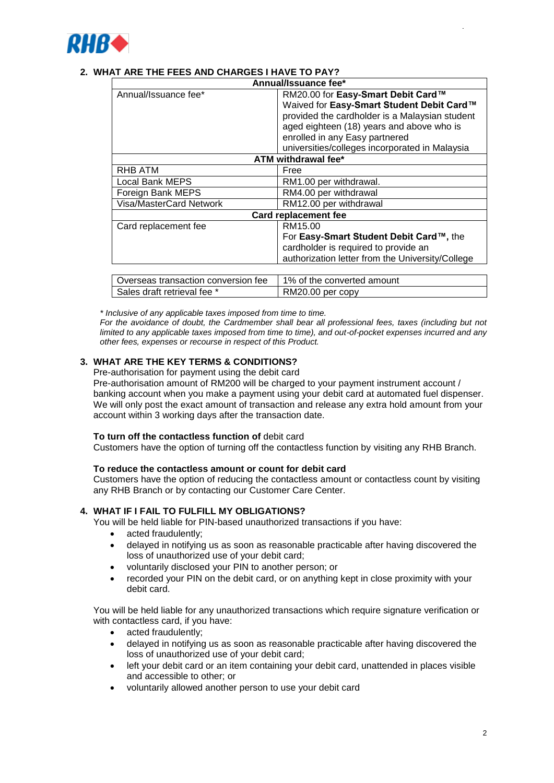

# **2. WHAT ARE THE FEES AND CHARGES I HAVE TO PAY?**

| Annual/Issuance fee*                |                                                                                                                                                                                                                                                                    |  |
|-------------------------------------|--------------------------------------------------------------------------------------------------------------------------------------------------------------------------------------------------------------------------------------------------------------------|--|
| Annual/Issuance fee*                | RM20.00 for Easy-Smart Debit Card™<br>Waived for Easy-Smart Student Debit Card™<br>provided the cardholder is a Malaysian student<br>aged eighteen (18) years and above who is<br>enrolled in any Easy partnered<br>universities/colleges incorporated in Malaysia |  |
| ATM withdrawal fee*                 |                                                                                                                                                                                                                                                                    |  |
| RHB ATM                             | Free                                                                                                                                                                                                                                                               |  |
| <b>Local Bank MEPS</b>              | RM1.00 per withdrawal.                                                                                                                                                                                                                                             |  |
| Foreign Bank MEPS                   | RM4.00 per withdrawal                                                                                                                                                                                                                                              |  |
| Visa/MasterCard Network             | RM12.00 per withdrawal                                                                                                                                                                                                                                             |  |
| <b>Card replacement fee</b>         |                                                                                                                                                                                                                                                                    |  |
| Card replacement fee                | RM15.00                                                                                                                                                                                                                                                            |  |
|                                     | For Easy-Smart Student Debit Card™, the                                                                                                                                                                                                                            |  |
|                                     | cardholder is required to provide an                                                                                                                                                                                                                               |  |
|                                     | authorization letter from the University/College                                                                                                                                                                                                                   |  |
|                                     |                                                                                                                                                                                                                                                                    |  |
| Overseas transaction conversion fee | 1% of the converted amount                                                                                                                                                                                                                                         |  |
| Sales draft retrieval fee *         | RM20.00 per copy                                                                                                                                                                                                                                                   |  |

*\* Inclusive of any applicable taxes imposed from time to time.*

*For the avoidance of doubt, the Cardmember shall bear all professional fees, taxes (including but not limited to any applicable taxes imposed from time to time), and out-of-pocket expenses incurred and any other fees, expenses or recourse in respect of this Product.*

# **3. WHAT ARE THE KEY TERMS & CONDITIONS?**

Pre-authorisation for payment using the debit card

Pre-authorisation amount of RM200 will be charged to your payment instrument account / banking account when you make a payment using your debit card at automated fuel dispenser. We will only post the exact amount of transaction and release any extra hold amount from your account within 3 working days after the transaction date.

### **To turn off the contactless function of** debit card

Customers have the option of turning off the contactless function by visiting any RHB Branch.

### **To reduce the contactless amount or count for debit card**

Customers have the option of reducing the contactless amount or contactless count by visiting any RHB Branch or by contacting our Customer Care Center.

## **4. WHAT IF I FAIL TO FULFILL MY OBLIGATIONS?**

You will be held liable for PIN-based unauthorized transactions if you have:

- acted fraudulently;
- delayed in notifying us as soon as reasonable practicable after having discovered the loss of unauthorized use of your debit card;
- voluntarily disclosed your PIN to another person; or
- recorded your PIN on the debit card, or on anything kept in close proximity with your debit card.

You will be held liable for any unauthorized transactions which require signature verification or with contactless card, if you have:

- acted fraudulently;
- delayed in notifying us as soon as reasonable practicable after having discovered the loss of unauthorized use of your debit card;
- left your debit card or an item containing your debit card, unattended in places visible and accessible to other; or
- voluntarily allowed another person to use your debit card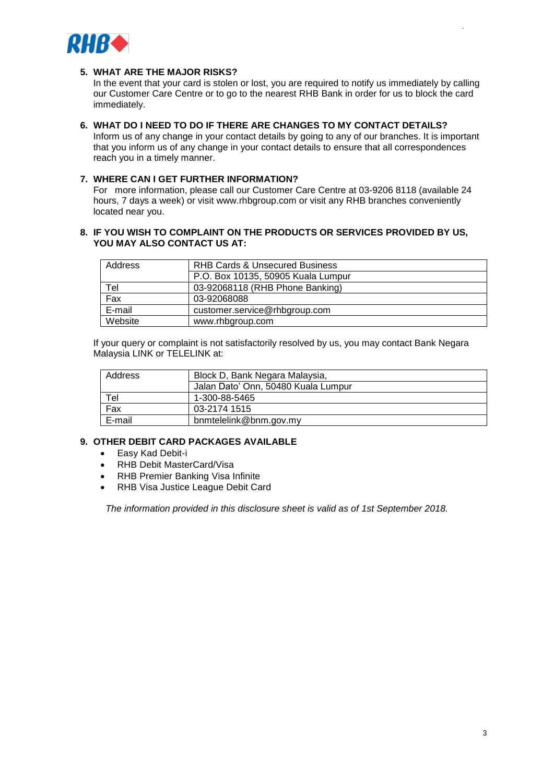

## **5. WHAT ARE THE MAJOR RISKS?**

In the event that your card is stolen or lost, you are required to notify us immediately by calling our Customer Care Centre or to go to the nearest RHB Bank in order for us to block the card immediately.

#### **6. WHAT DO I NEED TO DO IF THERE ARE CHANGES TO MY CONTACT DETAILS?** Inform us of any change in your contact details by going to any of our branches. It is important that you inform us of any change in your contact details to ensure that all correspondences reach you in a timely manner.

## **7. WHERE CAN I GET FURTHER INFORMATION?**

For more information, please call our Customer Care Centre at 03-9206 8118 (available 24 hours, 7 days a week) or visit www.rhbgroup.com or visit any RHB branches conveniently located near you.

### **8. IF YOU WISH TO COMPLAINT ON THE PRODUCTS OR SERVICES PROVIDED BY US, YOU MAY ALSO CONTACT US AT:**

| Address | <b>RHB Cards &amp; Unsecured Business</b> |
|---------|-------------------------------------------|
|         | P.O. Box 10135, 50905 Kuala Lumpur        |
| Tel     | 03-92068118 (RHB Phone Banking)           |
| Fax     | 03-92068088                               |
| E-mail  | customer.service@rhbgroup.com             |
| Website | www.rhbgroup.com                          |

If your query or complaint is not satisfactorily resolved by us, you may contact Bank Negara Malaysia LINK or TELELINK at:

| Address | Block D, Bank Negara Malaysia,      |
|---------|-------------------------------------|
|         | Jalan Dato' Onn, 50480 Kuala Lumpur |
| Tel     | 1-300-88-5465                       |
| Fax     | 03-2174 1515                        |
| E-mail  | bnmtelelink@bnm.gov.my              |

## **9. OTHER DEBIT CARD PACKAGES AVAILABLE**

- Easy Kad Debit-i
- RHB Debit MasterCard/Visa
- RHB Premier Banking Visa Infinite
- RHB Visa Justice League Debit Card

*The information provided in this disclosure sheet is valid as of 1st September 2018.*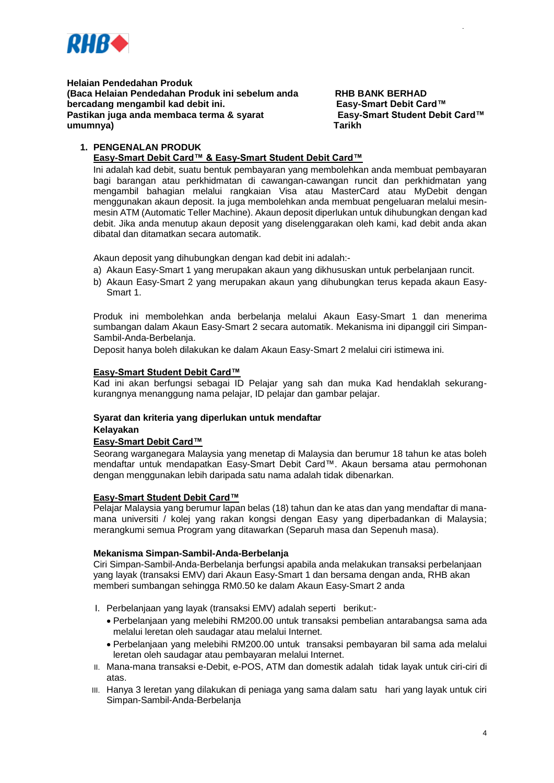

**Helaian Pendedahan Produk (Baca Helaian Pendedahan Produk ini sebelum anda RHB BANK BERHAD bercadang mengambil kad debit ini.** Easy-Smart Debit Card™ bercadang mengambil kad debit ini. **Pastikan juga anda membaca terma & syarat Easy-Smart Student Debit Card™ umumnya) Tarikh**

DE /2018

# **1. PENGENALAN PRODUK**

# **Easy-Smart Debit Card™ & Easy-Smart Student Debit Card™**

Ini adalah kad debit, suatu bentuk pembayaran yang membolehkan anda membuat pembayaran bagi barangan atau perkhidmatan di cawangan-cawangan runcit dan perkhidmatan yang mengambil bahagian melalui rangkaian Visa atau MasterCard atau MyDebit dengan menggunakan akaun deposit. Ia juga membolehkan anda membuat pengeluaran melalui mesinmesin ATM (Automatic Teller Machine). Akaun deposit diperlukan untuk dihubungkan dengan kad debit. Jika anda menutup akaun deposit yang diselenggarakan oleh kami, kad debit anda akan dibatal dan ditamatkan secara automatik.

Akaun deposit yang dihubungkan dengan kad debit ini adalah:-

- a) Akaun Easy-Smart 1 yang merupakan akaun yang dikhususkan untuk perbelanjaan runcit.
- b) Akaun Easy-Smart 2 yang merupakan akaun yang dihubungkan terus kepada akaun Easy-Smart 1.

Produk ini membolehkan anda berbelanja melalui Akaun Easy-Smart 1 dan menerima sumbangan dalam Akaun Easy-Smart 2 secara automatik. Mekanisma ini dipanggil ciri Simpan-Sambil-Anda-Berbelanja.

Deposit hanya boleh dilakukan ke dalam Akaun Easy-Smart 2 melalui ciri istimewa ini.

## **Easy-Smart Student Debit Card™**

Kad ini akan berfungsi sebagai ID Pelajar yang sah dan muka Kad hendaklah sekurangkurangnya menanggung nama pelajar, ID pelajar dan gambar pelajar.

## **Syarat dan kriteria yang diperlukan untuk mendaftar**

### **Kelayakan**

## **Easy-Smart Debit Card™**

Seorang warganegara Malaysia yang menetap di Malaysia dan berumur 18 tahun ke atas boleh mendaftar untuk mendapatkan Easy-Smart Debit Card™. Akaun bersama atau permohonan dengan menggunakan lebih daripada satu nama adalah tidak dibenarkan.

### **Easy-Smart Student Debit Card™**

Pelajar Malaysia yang berumur lapan belas (18) tahun dan ke atas dan yang mendaftar di manamana universiti / kolej yang rakan kongsi dengan Easy yang diperbadankan di Malaysia; merangkumi semua Program yang ditawarkan (Separuh masa dan Sepenuh masa).

### **Mekanisma Simpan-Sambil-Anda-Berbelanja**

Ciri Simpan-Sambil-Anda-Berbelanja berfungsi apabila anda melakukan transaksi perbelanjaan yang layak (transaksi EMV) dari Akaun Easy-Smart 1 dan bersama dengan anda, RHB akan memberi sumbangan sehingga RM0.50 ke dalam Akaun Easy-Smart 2 anda

- I. Perbelanjaan yang layak (transaksi EMV) adalah seperti berikut:-
	- Perbelanjaan yang melebihi RM200.00 untuk transaksi pembelian antarabangsa sama ada melalui leretan oleh saudagar atau melalui Internet.
	- Perbelanjaan yang melebihi RM200.00 untuk transaksi pembayaran bil sama ada melalui leretan oleh saudagar atau pembayaran melalui Internet.
- II. Mana-mana transaksi e-Debit, e-POS, ATM dan domestik adalah tidak layak untuk ciri-ciri di atas.
- III. Hanya 3 leretan yang dilakukan di peniaga yang sama dalam satu hari yang layak untuk ciri Simpan-Sambil-Anda-Berbelanja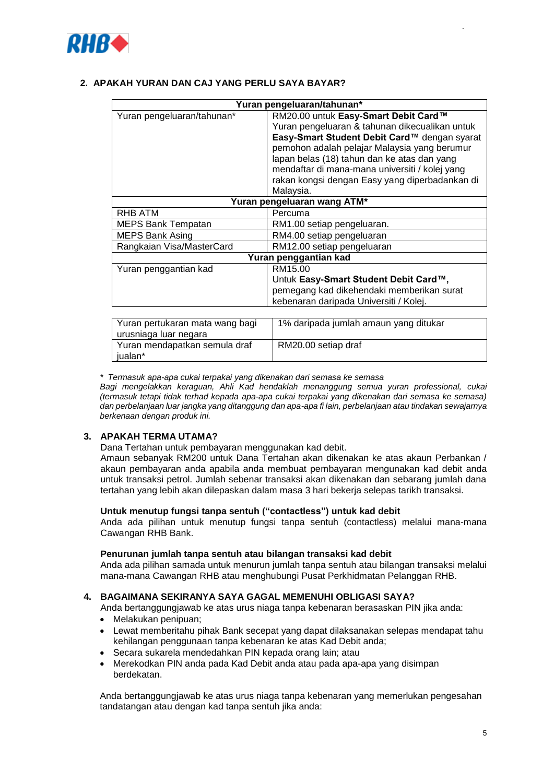

# **2. APAKAH YURAN DAN CAJ YANG PERLU SAYA BAYAR?**

| Yuran pengeluaran/tahunan*  |                                                |
|-----------------------------|------------------------------------------------|
| Yuran pengeluaran/tahunan*  | RM20.00 untuk Easy-Smart Debit Card™           |
|                             | Yuran pengeluaran & tahunan dikecualikan untuk |
|                             | Easy-Smart Student Debit Card™ dengan syarat   |
|                             | pemohon adalah pelajar Malaysia yang berumur   |
|                             | lapan belas (18) tahun dan ke atas dan yang    |
|                             | mendaftar di mana-mana universiti / kolej yang |
|                             | rakan kongsi dengan Easy yang diperbadankan di |
|                             | Malaysia.                                      |
| Yuran pengeluaran wang ATM* |                                                |
| RHB ATM                     | Percuma                                        |
| <b>MEPS Bank Tempatan</b>   | RM1.00 setiap pengeluaran.                     |
| <b>MEPS Bank Asing</b>      | RM4.00 setiap pengeluaran                      |
| Rangkaian Visa/MasterCard   | RM12.00 setiap pengeluaran                     |
| Yuran penggantian kad       |                                                |
| Yuran penggantian kad       | RM15.00                                        |
|                             | Untuk Easy-Smart Student Debit Card™,          |
|                             | pemegang kad dikehendaki memberikan surat      |
|                             | kebenaran daripada Universiti / Kolej.         |
|                             |                                                |

| Yuran pertukaran mata wang bagi | 1% daripada jumlah amaun yang ditukar |
|---------------------------------|---------------------------------------|
| urusniaga luar negara           |                                       |
| Yuran mendapatkan semula draf   | RM20.00 setiap draf                   |
| iualan*                         |                                       |

*\* Termasuk apa-apa cukai terpakai yang dikenakan dari semasa ke semasa*

*Bagi mengelakkan keraguan, Ahli Kad hendaklah menanggung semua yuran professional, cukai (termasuk tetapi tidak terhad kepada apa-apa cukai terpakai yang dikenakan dari semasa ke semasa) dan perbelanjaan luar jangka yang ditanggung dan apa-apa fi lain, perbelanjaan atau tindakan sewajarnya berkenaan dengan produk ini.*

# **3. APAKAH TERMA UTAMA?**

Dana Tertahan untuk pembayaran menggunakan kad debit.

Amaun sebanyak RM200 untuk Dana Tertahan akan dikenakan ke atas akaun Perbankan / akaun pembayaran anda apabila anda membuat pembayaran mengunakan kad debit anda untuk transaksi petrol. Jumlah sebenar transaksi akan dikenakan dan sebarang jumlah dana tertahan yang lebih akan dilepaskan dalam masa 3 hari bekerja selepas tarikh transaksi.

### **Untuk menutup fungsi tanpa sentuh ("contactless") untuk kad debit**

Anda ada pilihan untuk menutup fungsi tanpa sentuh (contactless) melalui mana-mana Cawangan RHB Bank.

### **Penurunan jumlah tanpa sentuh atau bilangan transaksi kad debit**

Anda ada pilihan samada untuk menurun jumlah tanpa sentuh atau bilangan transaksi melalui mana-mana Cawangan RHB atau menghubungi Pusat Perkhidmatan Pelanggan RHB.

## **4. BAGAIMANA SEKIRANYA SAYA GAGAL MEMENUHI OBLIGASI SAYA?**

Anda bertanggungjawab ke atas urus niaga tanpa kebenaran berasaskan PIN jika anda:

- Melakukan penipuan;
- Lewat memberitahu pihak Bank secepat yang dapat dilaksanakan selepas mendapat tahu kehilangan penggunaan tanpa kebenaran ke atas Kad Debit anda;
- Secara sukarela mendedahkan PIN kepada orang lain; atau
- Merekodkan PIN anda pada Kad Debit anda atau pada apa-apa yang disimpan berdekatan.

Anda bertanggungjawab ke atas urus niaga tanpa kebenaran yang memerlukan pengesahan tandatangan atau dengan kad tanpa sentuh jika anda: